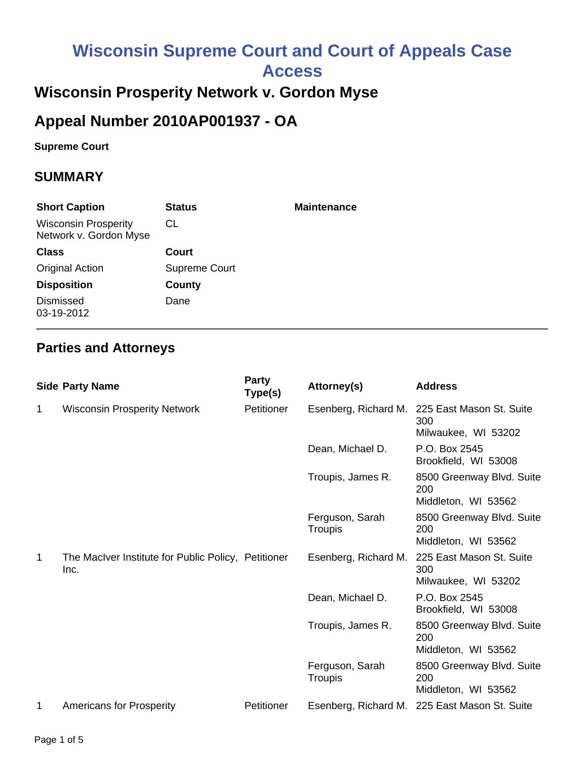# **Wisconsin Supreme Court and Court of Appeals Case Access**

# **Wisconsin Prosperity Network v. Gordon Myse**

## **Appeal Number 2010AP001937 - OA**

**Supreme Court** 

#### **SUMMARY**

| <b>Short Caption</b>                                  | <b>Status</b> | <b>Maintenance</b> |
|-------------------------------------------------------|---------------|--------------------|
| <b>Wisconsin Prosperity</b><br>Network v. Gordon Myse | CL            |                    |
| <b>Class</b>                                          | Court         |                    |
| <b>Original Action</b>                                | Supreme Court |                    |
| <b>Disposition</b>                                    | County        |                    |
| <b>Dismissed</b><br>03-19-2012                        | Dane          |                    |

#### **Parties and Attorneys**

|   | <b>Side Party Name</b>                                      | Party<br>Type(s) | Attorney(s)                           | <b>Address</b>                                          |
|---|-------------------------------------------------------------|------------------|---------------------------------------|---------------------------------------------------------|
| 1 | <b>Wisconsin Prosperity Network</b>                         | Petitioner       | Esenberg, Richard M.                  | 225 East Mason St. Suite<br>300<br>Milwaukee, WI 53202  |
|   |                                                             |                  | Dean, Michael D.                      | P.O. Box 2545<br>Brookfield, WI 53008                   |
|   |                                                             |                  | Troupis, James R.                     | 8500 Greenway Blvd. Suite<br>200<br>Middleton, WI 53562 |
|   |                                                             |                  | Ferguson, Sarah<br><b>Troupis</b>     | 8500 Greenway Blvd. Suite<br>200<br>Middleton, WI 53562 |
| 1 | The MacIver Institute for Public Policy, Petitioner<br>Inc. |                  | Esenberg, Richard M.                  | 225 East Mason St. Suite<br>300<br>Milwaukee, WI 53202  |
|   |                                                             | Dean, Michael D. | P.O. Box 2545<br>Brookfield, WI 53008 |                                                         |
|   |                                                             |                  | Troupis, James R.                     | 8500 Greenway Blvd. Suite<br>200<br>Middleton, WI 53562 |
|   |                                                             |                  | Ferguson, Sarah<br><b>Troupis</b>     | 8500 Greenway Blvd. Suite<br>200<br>Middleton, WI 53562 |
| 1 | <b>Americans for Prosperity</b>                             | Petitioner       |                                       | Esenberg, Richard M. 225 East Mason St. Suite           |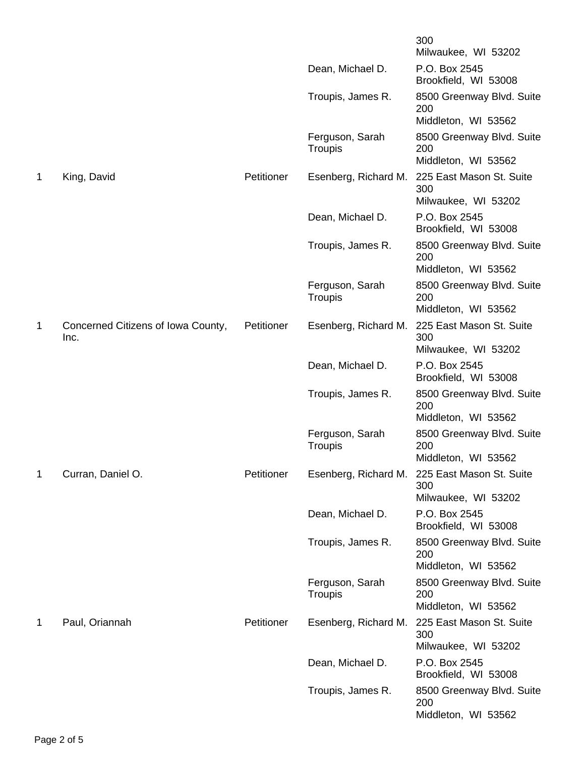|   |                                            |            |                            | 300<br>Milwaukee, WI 53202                              |
|---|--------------------------------------------|------------|----------------------------|---------------------------------------------------------|
|   |                                            |            | Dean, Michael D.           | P.O. Box 2545<br>Brookfield, WI 53008                   |
|   |                                            |            | Troupis, James R.          | 8500 Greenway Blvd. Suite<br>200                        |
|   |                                            |            |                            | Middleton, WI 53562                                     |
|   |                                            |            | Ferguson, Sarah<br>Troupis | 8500 Greenway Blvd. Suite<br>200<br>Middleton, WI 53562 |
| 1 | King, David                                | Petitioner | Esenberg, Richard M.       | 225 East Mason St. Suite                                |
|   |                                            |            |                            | 300<br>Milwaukee, WI 53202                              |
|   |                                            |            | Dean, Michael D.           | P.O. Box 2545<br>Brookfield, WI 53008                   |
|   |                                            |            | Troupis, James R.          | 8500 Greenway Blvd. Suite<br>200                        |
|   |                                            |            |                            | Middleton, WI 53562                                     |
|   |                                            |            | Ferguson, Sarah<br>Troupis | 8500 Greenway Blvd. Suite<br>200                        |
|   |                                            |            |                            | Middleton, WI 53562                                     |
| 1 | Concerned Citizens of Iowa County,<br>Inc. | Petitioner | Esenberg, Richard M.       | 225 East Mason St. Suite<br>300<br>Milwaukee, WI 53202  |
|   |                                            |            | Dean, Michael D.           | P.O. Box 2545<br>Brookfield, WI 53008                   |
|   |                                            |            | Troupis, James R.          | 8500 Greenway Blvd. Suite                               |
|   |                                            |            |                            | 200<br>Middleton, WI 53562                              |
|   |                                            |            | Ferguson, Sarah<br>Troupis | 8500 Greenway Blvd. Suite<br>200                        |
|   |                                            |            |                            | Middleton, WI 53562                                     |
| 1 | Curran, Daniel O.                          | Petitioner |                            | Esenberg, Richard M. 225 East Mason St. Suite<br>300    |
|   |                                            |            |                            | Milwaukee, WI 53202                                     |
|   |                                            |            | Dean, Michael D.           | P.O. Box 2545<br>Brookfield, WI 53008                   |
|   |                                            |            | Troupis, James R.          | 8500 Greenway Blvd. Suite<br>200<br>Middleton, WI 53562 |
|   |                                            |            |                            |                                                         |
|   |                                            |            | Ferguson, Sarah<br>Troupis | 8500 Greenway Blvd. Suite<br>200<br>Middleton, WI 53562 |
| 1 | Paul, Oriannah                             | Petitioner | Esenberg, Richard M.       | 225 East Mason St. Suite<br>300                         |
|   |                                            |            |                            | Milwaukee, WI 53202                                     |
|   |                                            |            | Dean, Michael D.           | P.O. Box 2545<br>Brookfield, WI 53008                   |
|   |                                            |            | Troupis, James R.          | 8500 Greenway Blvd. Suite<br>200<br>Middleton, WI 53562 |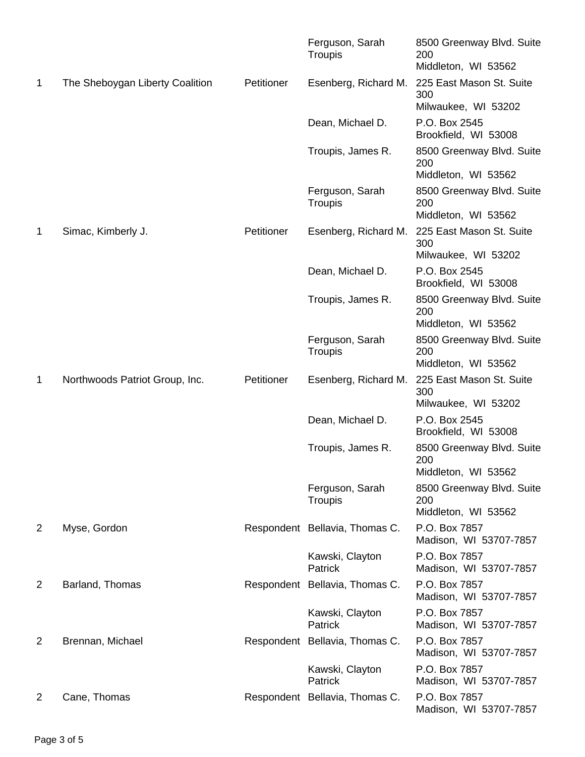|                |                                 |            | Ferguson, Sarah<br>Troupis     | 8500 Greenway Blvd. Suite<br>200<br>Middleton, WI 53562 |
|----------------|---------------------------------|------------|--------------------------------|---------------------------------------------------------|
| 1              | The Sheboygan Liberty Coalition | Petitioner | Esenberg, Richard M.           | 225 East Mason St. Suite<br>300<br>Milwaukee, WI 53202  |
|                |                                 |            | Dean, Michael D.               | P.O. Box 2545<br>Brookfield, WI 53008                   |
|                |                                 |            | Troupis, James R.              | 8500 Greenway Blvd. Suite<br>200<br>Middleton, WI 53562 |
|                |                                 |            | Ferguson, Sarah<br>Troupis     | 8500 Greenway Blvd. Suite<br>200                        |
|                |                                 |            |                                | Middleton, WI 53562                                     |
| 1              | Simac, Kimberly J.              | Petitioner | Esenberg, Richard M.           | 225 East Mason St. Suite<br>300<br>Milwaukee, WI 53202  |
|                |                                 |            | Dean, Michael D.               | P.O. Box 2545                                           |
|                |                                 |            |                                | Brookfield, WI 53008                                    |
|                |                                 |            | Troupis, James R.              | 8500 Greenway Blvd. Suite<br>200<br>Middleton, WI 53562 |
|                |                                 |            |                                |                                                         |
|                |                                 |            | Ferguson, Sarah<br>Troupis     | 8500 Greenway Blvd. Suite<br>200<br>Middleton, WI 53562 |
| 1              | Northwoods Patriot Group, Inc.  | Petitioner | Esenberg, Richard M.           | 225 East Mason St. Suite<br>300                         |
|                |                                 |            |                                | Milwaukee, WI 53202                                     |
|                |                                 |            | Dean, Michael D.               | P.O. Box 2545<br>Brookfield, WI 53008                   |
|                |                                 |            | Troupis, James R.              | 8500 Greenway Blvd. Suite<br>200<br>Middleton, WI 53562 |
|                |                                 |            | Ferguson, Sarah<br>Troupis     | 8500 Greenway Blvd. Suite<br>200                        |
|                |                                 |            |                                | Middleton, WI 53562                                     |
| $\overline{2}$ | Myse, Gordon                    |            | Respondent Bellavia, Thomas C. | P.O. Box 7857<br>Madison, WI 53707-7857                 |
|                |                                 |            | Kawski, Clayton<br>Patrick     | P.O. Box 7857<br>Madison, WI 53707-7857                 |
| $\overline{2}$ | Barland, Thomas                 |            | Respondent Bellavia, Thomas C. | P.O. Box 7857<br>Madison, WI 53707-7857                 |
|                |                                 |            | Kawski, Clayton<br>Patrick     | P.O. Box 7857<br>Madison, WI 53707-7857                 |
| 2              | Brennan, Michael                |            | Respondent Bellavia, Thomas C. | P.O. Box 7857<br>Madison, WI 53707-7857                 |
|                |                                 |            | Kawski, Clayton<br>Patrick     | P.O. Box 7857<br>Madison, WI 53707-7857                 |
| 2              | Cane, Thomas                    |            | Respondent Bellavia, Thomas C. | P.O. Box 7857<br>Madison, WI 53707-7857                 |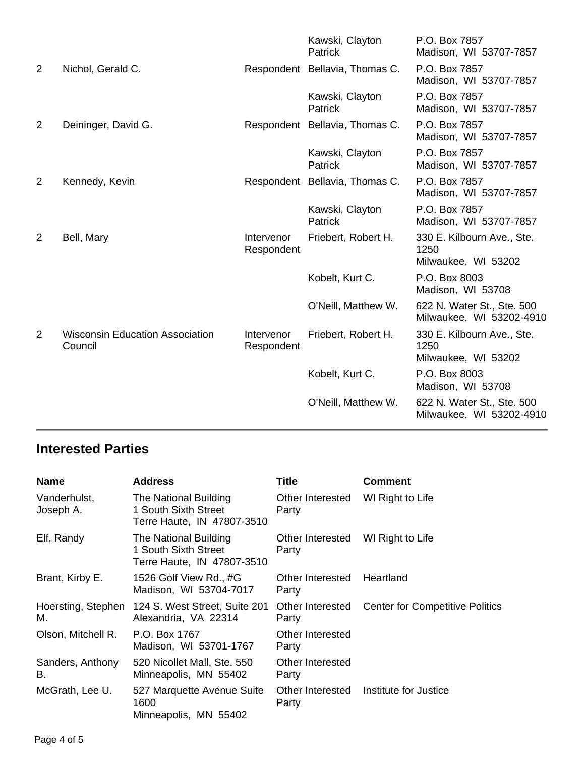|   |                                                   |                          | Kawski, Clayton<br>Patrick        | P.O. Box 7857<br>Madison, WI 53707-7857                   |
|---|---------------------------------------------------|--------------------------|-----------------------------------|-----------------------------------------------------------|
| 2 | Nichol, Gerald C.                                 |                          | Respondent Bellavia, Thomas C.    | P.O. Box 7857<br>Madison, WI 53707-7857                   |
|   |                                                   |                          | Kawski, Clayton<br><b>Patrick</b> | P.O. Box 7857<br>Madison, WI 53707-7857                   |
| 2 | Deininger, David G.                               |                          | Respondent Bellavia, Thomas C.    | P.O. Box 7857<br>Madison, WI 53707-7857                   |
|   |                                                   |                          | Kawski, Clayton<br>Patrick        | P.O. Box 7857<br>Madison, WI 53707-7857                   |
| 2 | Kennedy, Kevin                                    |                          | Respondent Bellavia, Thomas C.    | P.O. Box 7857<br>Madison, WI 53707-7857                   |
|   |                                                   |                          | Kawski, Clayton<br><b>Patrick</b> | P.O. Box 7857<br>Madison, WI 53707-7857                   |
| 2 | Bell, Mary                                        | Intervenor<br>Respondent | Friebert, Robert H.               | 330 E. Kilbourn Ave., Ste.<br>1250<br>Milwaukee, WI 53202 |
|   |                                                   |                          | Kobelt, Kurt C.                   | P.O. Box 8003<br>Madison, WI 53708                        |
|   |                                                   |                          | O'Neill, Matthew W.               | 622 N. Water St., Ste. 500<br>Milwaukee, WI 53202-4910    |
| 2 | <b>Wisconsin Education Association</b><br>Council | Intervenor<br>Respondent | Friebert, Robert H.               | 330 E. Kilbourn Ave., Ste.<br>1250<br>Milwaukee, WI 53202 |
|   |                                                   |                          | Kobelt, Kurt C.                   | P.O. Box 8003<br>Madison, WI 53708                        |
|   |                                                   |                          | O'Neill, Matthew W.               | 622 N. Water St., Ste. 500<br>Milwaukee, WI 53202-4910    |
|   |                                                   |                          |                                   |                                                           |

### **Interested Parties**

| <b>Name</b>               | <b>Address</b>                                                              | Title                     | <b>Comment</b>                         |
|---------------------------|-----------------------------------------------------------------------------|---------------------------|----------------------------------------|
| Vanderhulst,<br>Joseph A. | The National Building<br>1 South Sixth Street<br>Terre Haute, IN 47807-3510 | Other Interested<br>Party | WI Right to Life                       |
| Elf, Randy                | The National Building<br>1 South Sixth Street<br>Terre Haute, IN 47807-3510 | Other Interested<br>Party | WI Right to Life                       |
| Brant, Kirby E.           | 1526 Golf View Rd., #G<br>Madison, WI 53704-7017                            | Other Interested<br>Party | Heartland                              |
| Hoersting, Stephen<br>М.  | 124 S. West Street, Suite 201<br>Alexandria, VA 22314                       | Other Interested<br>Party | <b>Center for Competitive Politics</b> |
| Olson, Mitchell R.        | P.O. Box 1767<br>Madison, WI 53701-1767                                     | Other Interested<br>Party |                                        |
| Sanders, Anthony<br>В.    | 520 Nicollet Mall, Ste. 550<br>Minneapolis, MN 55402                        | Other Interested<br>Party |                                        |
| McGrath, Lee U.           | 527 Marquette Avenue Suite<br>1600<br>Minneapolis, MN 55402                 | Other Interested<br>Party | Institute for Justice                  |